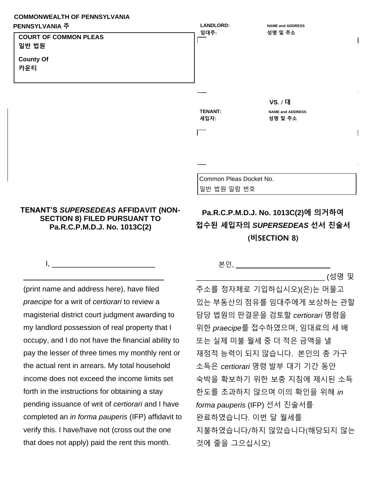## **COMMONWEALTH OF PENNSYLVANIA PENNSYLVANIA 주**



## **TENANT'S** *SUPERSEDEAS* **AFFIDAVIT (NON-SECTION 8) FILED PURSUANT TO Pa.R.C.P.M.D.J. No. 1013C(2)**

 $I, \underline{\hspace{1cm}}$ 

\_\_\_\_\_\_\_\_\_\_\_\_\_\_\_\_\_\_\_\_\_\_\_\_\_\_\_\_\_\_\_\_\_\_

## **Pa.R.C.P.M.D.J. No. 1013C(2)에 의거하여 접수된 세입자의** *SUPERSEDEAS* **선서 진술서 (비SECTION 8)**

(print name and address here), have filed *praecipe* for a writ of *certiorari* to review a magisterial district court judgment awarding to my landlord possession of real property that I occupy, and I do not have the financial ability to pay the lesser of three times my monthly rent or the actual rent in arrears. My total household income does not exceed the income limits set forth in the instructions for obtaining a stay pending issuance of writ of *certiorari* and I have completed an *in forma pauperis* (IFP) affidavit to verify this. I have/have not (cross out the one that does not apply) paid the rent this month.

## 본인, \_\_\_\_\_\_\_\_\_\_\_\_\_\_\_\_\_\_\_\_\_\_\_\_\_

\_\_\_\_\_\_\_\_\_\_\_\_\_\_\_\_\_\_\_\_\_\_\_\_\_\_\_\_\_\_\_\_\_\_ (성명 및

주소를 정자체로 기입하십시오)(은)는 머물고 있는 부동산의 점유를 임대주에게 보상하는 관할 담당 법원의 판결문을 검토할 *certiorari* 명령을 위한 *praecipe*를 접수하였으며, 임대료의 세 배 또는 실제 미불 월세 중 더 적은 금액을 낼 재정적 능력이 되지 않습니다. 본인의 총 가구 소득은 *certiorari* 명령 발부 대기 기간 동안 숙박을 확보하기 위한 보충 지침에 제시된 소득 한도를 초과하지 않으며 이의 확인을 위해 *in forma pauperis* (IFP) 선서 진술서를 완료하였습니다. 이번 달 월세를 지불하였습니다/하지 않았습니다(해당되지 않는 것에 줄을 그으십시오)